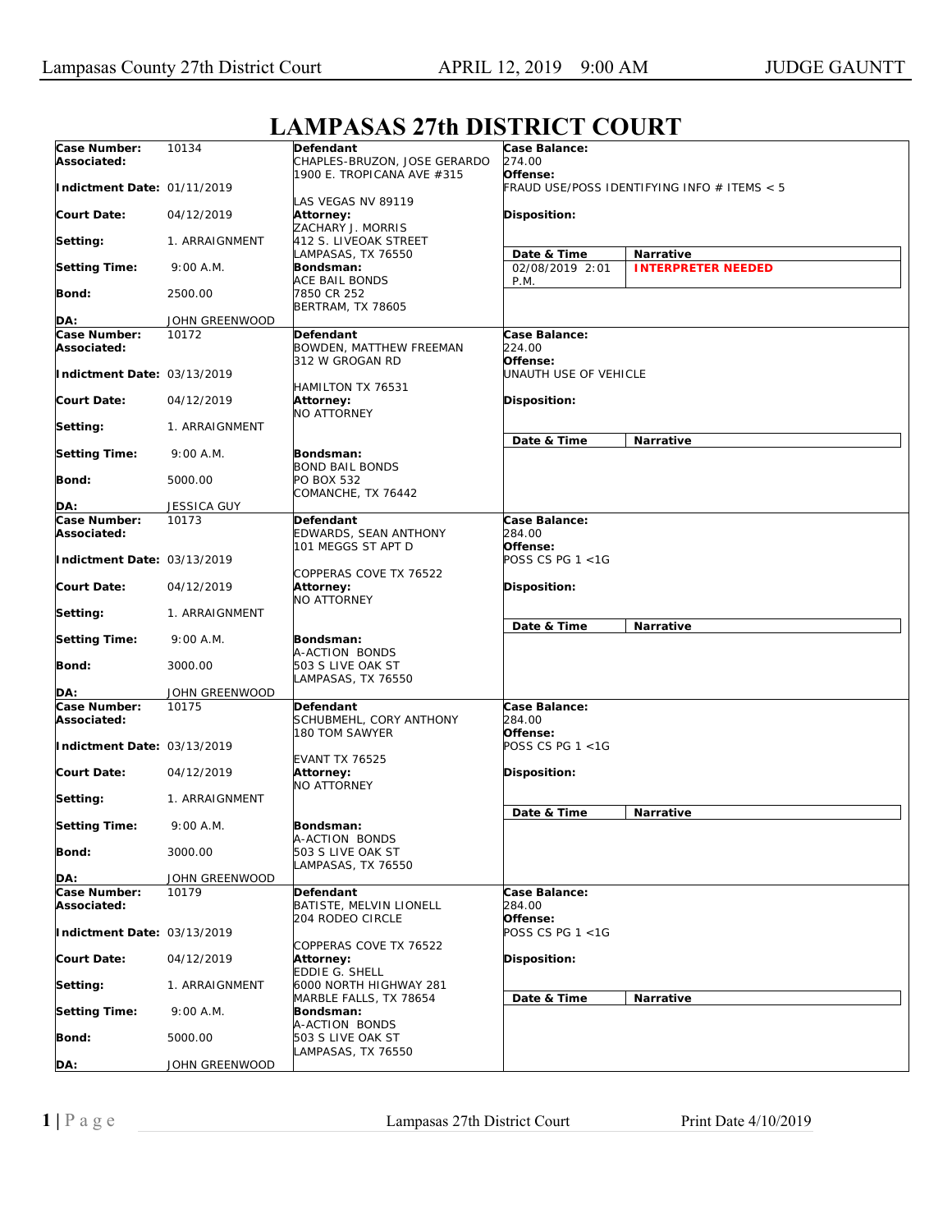| Case Number:<br>Associated: | 10134              | Defendant<br>CHAPLES-BRUZON, JOSE GERARDO                 | <b>Case Balance:</b><br>274.00<br>Offense:  |                           |  |
|-----------------------------|--------------------|-----------------------------------------------------------|---------------------------------------------|---------------------------|--|
| Indictment Date: 01/11/2019 |                    | 1900 E. TROPICANA AVE #315<br>LAS VEGAS NV 89119          | FRAUD USE/POSS IDENTIFYING INFO # ITEMS < 5 |                           |  |
| <b>Court Date:</b>          | 04/12/2019         | Attorney:<br>ZACHARY J. MORRIS                            | Disposition:                                |                           |  |
| Setting:                    | 1. ARRAIGNMENT     | 412 S. LIVEOAK STREET<br>LAMPASAS, TX 76550               | Date & Time                                 | <b>Narrative</b>          |  |
| <b>Setting Time:</b>        | 9:00 A.M.          | Bondsman:<br>ACE BAIL BONDS                               | 02/08/2019 2:01<br>P.M.                     | <b>INTERPRETER NEEDED</b> |  |
| Bond:                       | 2500.00            | 7850 CR 252<br><b>BERTRAM, TX 78605</b>                   |                                             |                           |  |
| DA:                         | JOHN GREENWOOD     |                                                           |                                             |                           |  |
| Case Number:                | 10172              | Defendant                                                 | Case Balance:                               |                           |  |
| Associated:                 |                    | BOWDEN, MATTHEW FREEMAN<br>312 W GROGAN RD                | 224.00<br>Offense:                          |                           |  |
| Indictment Date: 03/13/2019 |                    | HAMILTON TX 76531                                         | UNAUTH USE OF VEHICLE                       |                           |  |
| <b>Court Date:</b>          | 04/12/2019         | Attorney:<br>NO ATTORNEY                                  | Disposition:                                |                           |  |
| Setting:                    | 1. ARRAIGNMENT     |                                                           | Date & Time                                 | <b>Narrative</b>          |  |
| <b>Setting Time:</b>        | 9:00 A.M.          | Bondsman:<br><b>BOND BAIL BONDS</b>                       |                                             |                           |  |
| Bond:                       | 5000.00            | PO BOX 532<br>COMANCHE, TX 76442                          |                                             |                           |  |
| DA:                         | <b>JESSICA GUY</b> |                                                           |                                             |                           |  |
| Case Number:                | 10173              | Defendant                                                 | Case Balance:                               |                           |  |
| Associated:                 |                    | EDWARDS, SEAN ANTHONY                                     | 284.00                                      |                           |  |
| Indictment Date: 03/13/2019 |                    | 101 MEGGS ST APT D                                        | Offense:<br>POSS CS PG $1 < 1G$             |                           |  |
| <b>Court Date:</b>          | 04/12/2019         | COPPERAS COVE TX 76522<br>Attorney:<br><b>NO ATTORNEY</b> | <b>Disposition:</b>                         |                           |  |
| Setting:                    | 1. ARRAIGNMENT     |                                                           | Date & Time                                 | Narrative                 |  |
| <b>Setting Time:</b>        | 9:00 A.M.          | Bondsman:<br>A-ACTION BONDS                               |                                             |                           |  |
| Bond:                       | 3000.00            | 503 S LIVE OAK ST<br>LAMPASAS, TX 76550                   |                                             |                           |  |
| DA:                         | JOHN GREENWOOD     |                                                           |                                             |                           |  |
| Case Number:<br>Associated: | 10175              | Defendant<br>SCHUBMEHL, CORY ANTHONY<br>180 TOM SAWYER    | Case Balance:<br>284.00<br>Offense:         |                           |  |
| Indictment Date: 03/13/2019 |                    |                                                           | POSS CS PG $1 < 1G$                         |                           |  |
| Court Date:                 | 04/12/2019         | <b>EVANT TX 76525</b><br>Attorney:<br><b>NO ATTORNEY</b>  | <b>Disposition:</b>                         |                           |  |
| Setting:                    | 1. ARRAIGNMENT     |                                                           | Date & Time                                 | Narrative                 |  |
| <b>Setting Time:</b>        | 9:00 A.M.          | Bondsman:<br>A-ACTION BONDS                               |                                             |                           |  |
| <b>Bond:</b>                | 3000.00            | 503 S LIVE OAK ST<br>LAMPASAS, TX 76550                   |                                             |                           |  |
| DA:                         | JOHN GREENWOOD     |                                                           |                                             |                           |  |
| Case Number:<br>Associated: | 10179              | Defendant<br>BATISTE, MELVIN LIONELL                      | Case Balance:<br>284.00                     |                           |  |
| Indictment Date: 03/13/2019 |                    | 204 RODEO CIRCLE                                          | Offense:<br>POSS CS PG $1 < 1G$             |                           |  |
| <b>Court Date:</b>          | 04/12/2019         | COPPERAS COVE TX 76522<br>Attorney:                       | Disposition:                                |                           |  |
| Setting:                    | 1. ARRAIGNMENT     | EDDIE G. SHELL<br>6000 NORTH HIGHWAY 281                  |                                             |                           |  |
| <b>Setting Time:</b>        | 9:00 A.M.          | MARBLE FALLS, TX 78654<br>Bondsman:                       | Date & Time                                 | Narrative                 |  |
| Bond:                       | 5000.00            | A-ACTION BONDS<br>503 S LIVE OAK ST                       |                                             |                           |  |
| DA:                         | JOHN GREENWOOD     | LAMPASAS, TX 76550                                        |                                             |                           |  |

## **LAMPASAS 27th DISTRICT COURT**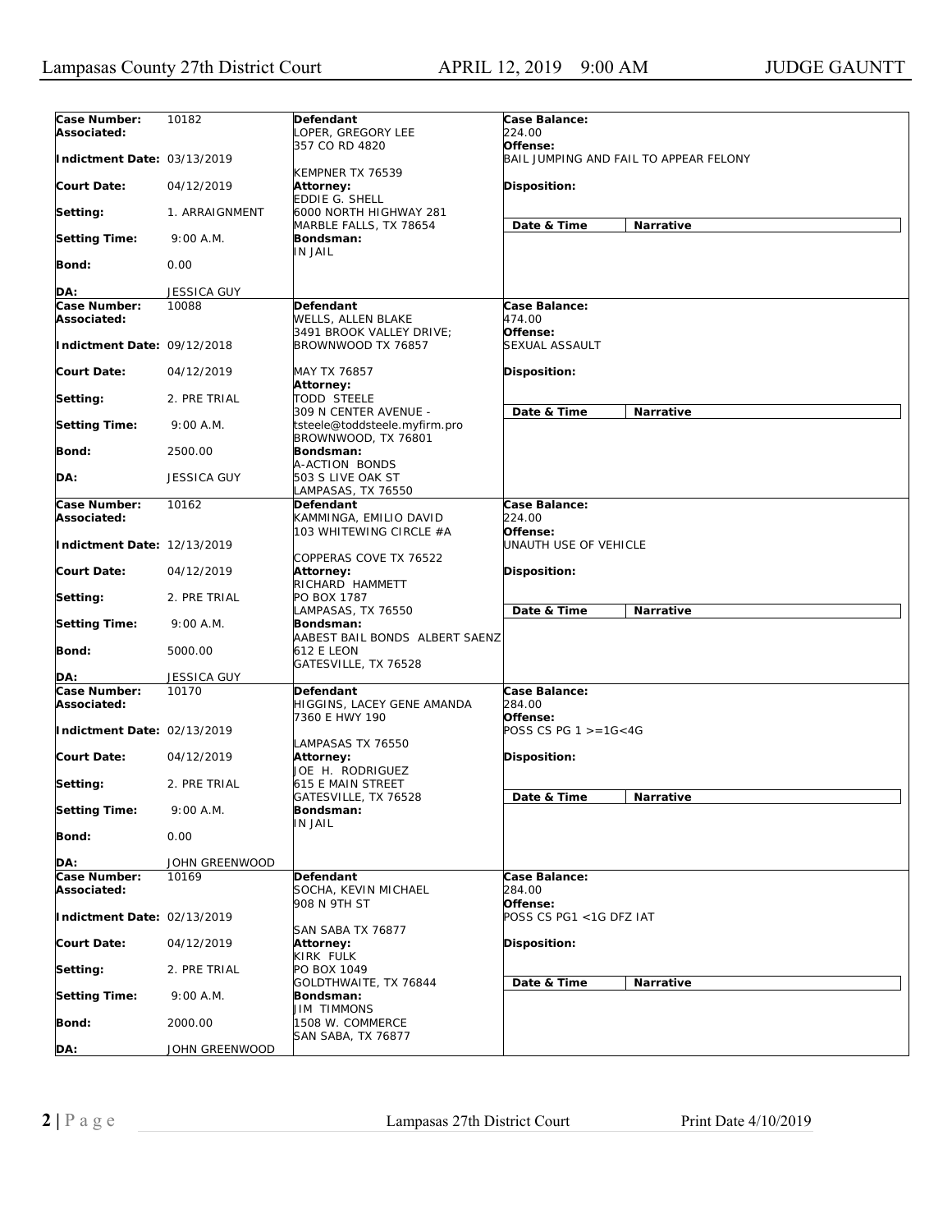| Case Number:<br>Associated:        | 10182              | Defendant<br>OPER, GREGORY LEE                                 | Case Balance:<br>224.00                            |  |  |
|------------------------------------|--------------------|----------------------------------------------------------------|----------------------------------------------------|--|--|
| Indictment Date: 03/13/2019        |                    | 357 CO RD 4820                                                 | Offense:<br>BAIL JUMPING AND FAIL TO APPEAR FELONY |  |  |
| <b>Court Date:</b>                 | 04/12/2019         | KEMPNER TX 76539<br>Attorney:<br><b>EDDIE G. SHELL</b>         | Disposition:                                       |  |  |
| Setting:                           | 1. ARRAIGNMENT     | 6000 NORTH HIGHWAY 281                                         | Date & Time<br>Narrative                           |  |  |
| <b>Setting Time:</b>               | 9:00 A.M.          | MARBLE FALLS, TX 78654<br>Bondsman:<br>IN JAIL                 |                                                    |  |  |
| <b>Bond:</b>                       | 0.00               |                                                                |                                                    |  |  |
| DA:                                | JESSICA GUY        |                                                                |                                                    |  |  |
| Case Number:                       | 10088              | Defendant                                                      | Case Balance:                                      |  |  |
| Associated:                        |                    | WELLS, ALLEN BLAKE<br>3491 BROOK VALLEY DRIVE;                 | 474.00<br>Offense:                                 |  |  |
| Indictment Date: 09/12/2018        |                    | BROWNWOOD TX 76857                                             | SEXUAL ASSAULT                                     |  |  |
| <b>Court Date:</b>                 | 04/12/2019         | MAY TX 76857<br><b>Attorney:</b>                               | Disposition:                                       |  |  |
| Setting:                           | 2. PRE TRIAL       | <b>TODD STEELE</b><br>309 N CENTER AVENUE -                    | Date & Time<br>Narrative                           |  |  |
| <b>Setting Time:</b>               | 9:00 A.M.          | tsteele@toddsteele.myfirm.pro<br>BROWNWOOD, TX 76801           |                                                    |  |  |
| <b>Bond:</b>                       | 2500.00            | Bondsman:<br>A-ACTION BONDS                                    |                                                    |  |  |
| DA:                                | <b>JESSICA GUY</b> | 503 S LIVE OAK ST<br>LAMPASAS, TX 76550                        |                                                    |  |  |
| <b>Case Number:</b><br>Associated: | 10162              | Defendant<br>KAMMINGA, EMILIO DAVID<br>103 WHITEWING CIRCLE #A | Case Balance:<br>224.00<br>Offense:                |  |  |
| Indictment Date: 12/13/2019        |                    |                                                                | UNAUTH USE OF VEHICLE                              |  |  |
| <b>Court Date:</b>                 | 04/12/2019         | COPPERAS COVE TX 76522<br>Attorney:<br>RICHARD HAMMETT         | Disposition:                                       |  |  |
| Setting:                           | 2. PRE TRIAL       | PO BOX 1787<br>LAMPASAS, TX 76550                              | Date & Time<br>Narrative                           |  |  |
| <b>Setting Time:</b>               | 9:00 A.M.          | Bondsman:<br>AABEST BAIL BONDS ALBERT SAENZ                    |                                                    |  |  |
| Bond:                              | 5000.00            | 612 E LEON                                                     |                                                    |  |  |
| DA:                                | JESSICA GUY        | GATESVILLE, TX 76528                                           |                                                    |  |  |
| Case Number:                       | 10170              | Defendant                                                      | Case Balance:                                      |  |  |
| Associated:                        |                    | HIGGINS, LACEY GENE AMANDA<br>7360 E HWY 190                   | 284.00<br>Offense:                                 |  |  |
| Indictment Date: 02/13/2019        |                    | LAMPASAS TX 76550                                              | POSS CS PG $1 > = 16 < 4G$                         |  |  |
| <b>Court Date:</b>                 | 04/12/2019         | Attorney:<br>JOE H. RODRIGUEZ                                  | Disposition:                                       |  |  |
| Setting:                           | 2. PRE TRIAL       | <b>615 E MAIN STREET</b><br>GATESVILLE, TX 76528               | Date & Time<br><b>Narrative</b>                    |  |  |
| <b>Setting Time:</b>               | 9:00 A.M.          | Bondsman:<br>IN JAIL                                           |                                                    |  |  |
| Bond:                              | 0.00               |                                                                |                                                    |  |  |
| DA:                                | JOHN GREENWOOD     |                                                                |                                                    |  |  |
| Case Number:                       | 10169              | Defendant                                                      | Case Balance:                                      |  |  |
| Associated:                        |                    | SOCHA, KEVIN MICHAEL<br>908 N 9TH ST                           | 284.00<br>Offense:                                 |  |  |
| Indictment Date: 02/13/2019        |                    | SAN SABA TX 76877                                              | POSS CS PG1 <1G DFZ IAT                            |  |  |
| <b>Court Date:</b>                 | 04/12/2019         | Attorney:<br>KIRK FULK                                         | Disposition:                                       |  |  |
| Setting:                           | 2. PRE TRIAL       | PO BOX 1049<br>GOLDTHWAITE, TX 76844                           | Date & Time<br>Narrative                           |  |  |
| <b>Setting Time:</b>               | 9:00 A.M.          | Bondsman:<br>JIM TIMMONS                                       |                                                    |  |  |
| Bond:                              | 2000.00            | 1508 W. COMMERCE                                               |                                                    |  |  |
| DA:                                | JOHN GREENWOOD     | SAN SABA, TX 76877                                             |                                                    |  |  |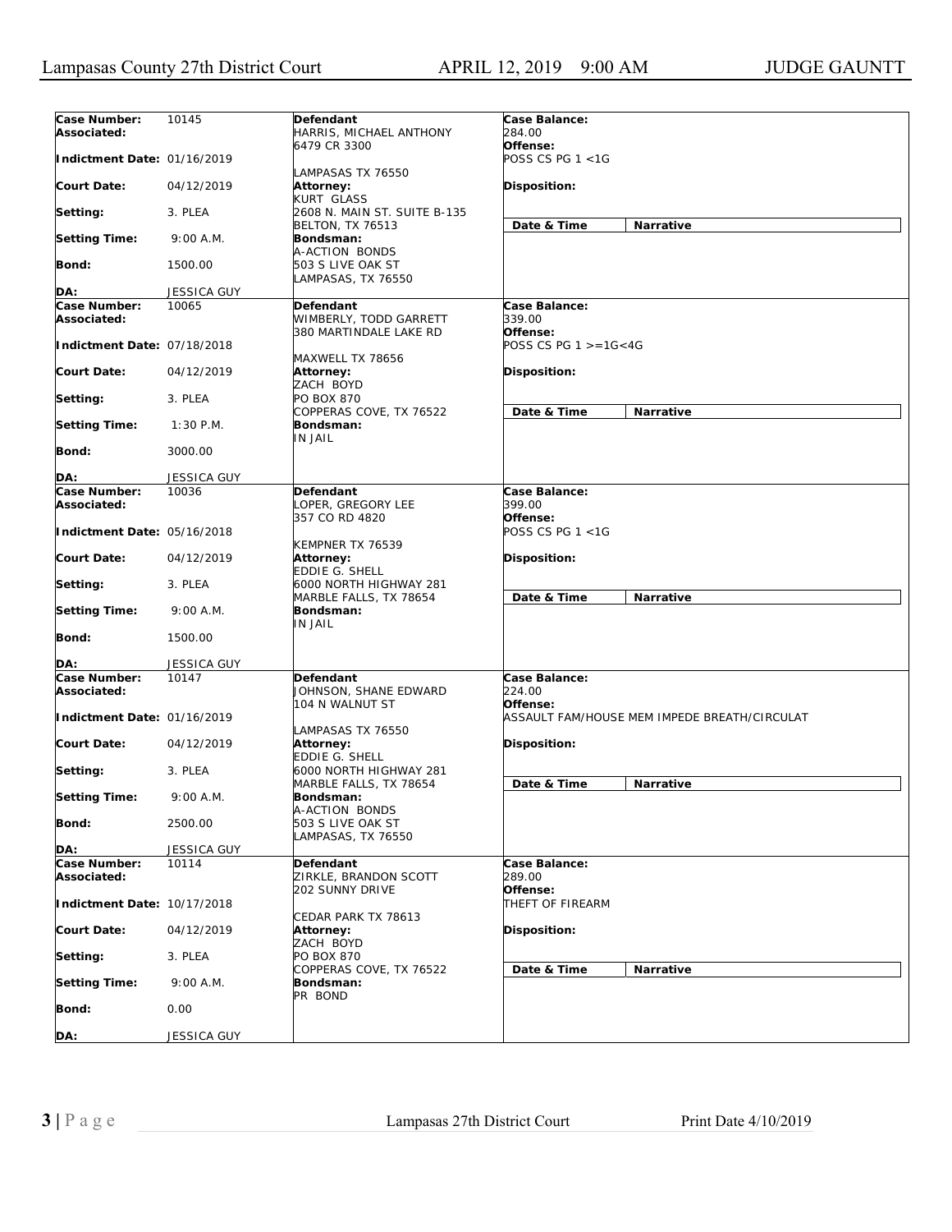| Case Number:<br>Associated: | 10145              | Defendant<br>HARRIS, MICHAEL ANTHONY                      | Case Balance:<br>284.00             |                                              |
|-----------------------------|--------------------|-----------------------------------------------------------|-------------------------------------|----------------------------------------------|
| Indictment Date: 01/16/2019 |                    | 6479 CR 3300                                              | Offense:<br>POSS CS PG $1 < 1G$     |                                              |
| <b>Court Date:</b>          | 04/12/2019         | LAMPASAS TX 76550<br>Attorney:<br>KURT GLASS              | Disposition:                        |                                              |
| Setting:                    | 3. PLEA            | 2608 N. MAIN ST. SUITE B-135                              |                                     |                                              |
| <b>Setting Time:</b>        | 9:00 A.M.          | <b>BELTON, TX 76513</b><br>Bondsman:<br>A-ACTION BONDS    | Date & Time                         | Narrative                                    |
| <b>Bond:</b>                | 1500.00            | 503 S LIVE OAK ST<br>LAMPASAS, TX 76550                   |                                     |                                              |
| DA:                         | JESSICA GUY        |                                                           |                                     |                                              |
| Case Number:                | 10065              | Defendant                                                 | Case Balance:                       |                                              |
| Associated:                 |                    | WIMBERLY, TODD GARRETT<br>380 MARTINDALE LAKE RD          | 339.00<br>Offense:                  |                                              |
| Indictment Date: 07/18/2018 |                    | MAXWELL TX 78656                                          | POSS CS PG $1 > = 16 < 4G$          |                                              |
| <b>Court Date:</b>          | 04/12/2019         | Attorney:<br>ZACH BOYD                                    | Disposition:                        |                                              |
| Setting:                    | 3. PLEA            | PO BOX 870<br>COPPERAS COVE, TX 76522                     | Date & Time                         | Narrative                                    |
| <b>Setting Time:</b>        | $1:30$ P.M.        | Bondsman:<br><b>IN JAIL</b>                               |                                     |                                              |
| <b>Bond:</b>                | 3000.00            |                                                           |                                     |                                              |
| DA:                         | <b>JESSICA GUY</b> |                                                           |                                     |                                              |
| Case Number:                | 10036              | Defendant                                                 | Case Balance:                       |                                              |
| Associated:                 |                    | LOPER. GREGORY LEE                                        | 399.00                              |                                              |
| Indictment Date: 05/16/2018 |                    | 357 CO RD 4820<br>KEMPNER TX 76539                        | Offense:<br>POSS CS PG $1 < 1G$     |                                              |
| <b>Court Date:</b>          | 04/12/2019         | Attorney:<br>EDDIE G. SHELL                               | Disposition:                        |                                              |
| Setting:                    | 3. PLEA            | 6000 NORTH HIGHWAY 281<br>MARBLE FALLS, TX 78654          | Date & Time                         | Narrative                                    |
| <b>Setting Time:</b>        | 9:00 A.M.          | Bondsman:<br><b>IN JAIL</b>                               |                                     |                                              |
| <b>Bond:</b>                | 1500.00            |                                                           |                                     |                                              |
| DA:                         | <b>JESSICA GUY</b> |                                                           |                                     |                                              |
| Case Number:<br>Associated: | 10147              | Defendant<br>JOHNSON, SHANE EDWARD<br>104 N WALNUT ST     | Case Balance:<br>224.00<br>Offense: |                                              |
| Indictment Date: 01/16/2019 |                    |                                                           |                                     | ASSAULT FAM/HOUSE MEM IMPEDE BREATH/CIRCULAT |
| <b>Court Date:</b>          | 04/12/2019         | LAMPASAS TX 76550<br>Attorney:<br>EDDIE G. SHELL          | Disposition:                        |                                              |
| Setting:                    | 3. PLEA            | 6000 NORTH HIGHWAY 281<br>MARBLE FALLS, TX 78654          | Date & Time                         | <b>Narrative</b>                             |
| <b>Setting Time:</b>        | 9:00 A.M.          | Bondsman:                                                 |                                     |                                              |
| <b>Bond:</b>                | 2500.00            | A-ACTION BONDS<br>503 S LIVE OAK ST<br>LAMPASAS, TX 76550 |                                     |                                              |
| DA:                         | <b>JESSICA GUY</b> |                                                           |                                     |                                              |
| Case Number:<br>Associated: | 10114              | Defendant<br>ZIRKLE, BRANDON SCOTT                        | Case Balance:<br>289.00             |                                              |
| Indictment Date: 10/17/2018 |                    | 202 SUNNY DRIVE                                           | Offense:<br>THEFT OF FIREARM        |                                              |
| <b>Court Date:</b>          | 04/12/2019         | CEDAR PARK TX 78613<br>Attorney:<br>ZACH BOYD             | Disposition:                        |                                              |
| Setting:                    | 3. PLEA            | PO BOX 870                                                |                                     |                                              |
| <b>Setting Time:</b>        | 9:00 A.M.          | COPPERAS COVE, TX 76522<br>Bondsman:                      | Date & Time                         | Narrative                                    |
| <b>Bond:</b>                | 0.00               | PR BOND                                                   |                                     |                                              |
| <b>DA:</b>                  | JESSICA GUY        |                                                           |                                     |                                              |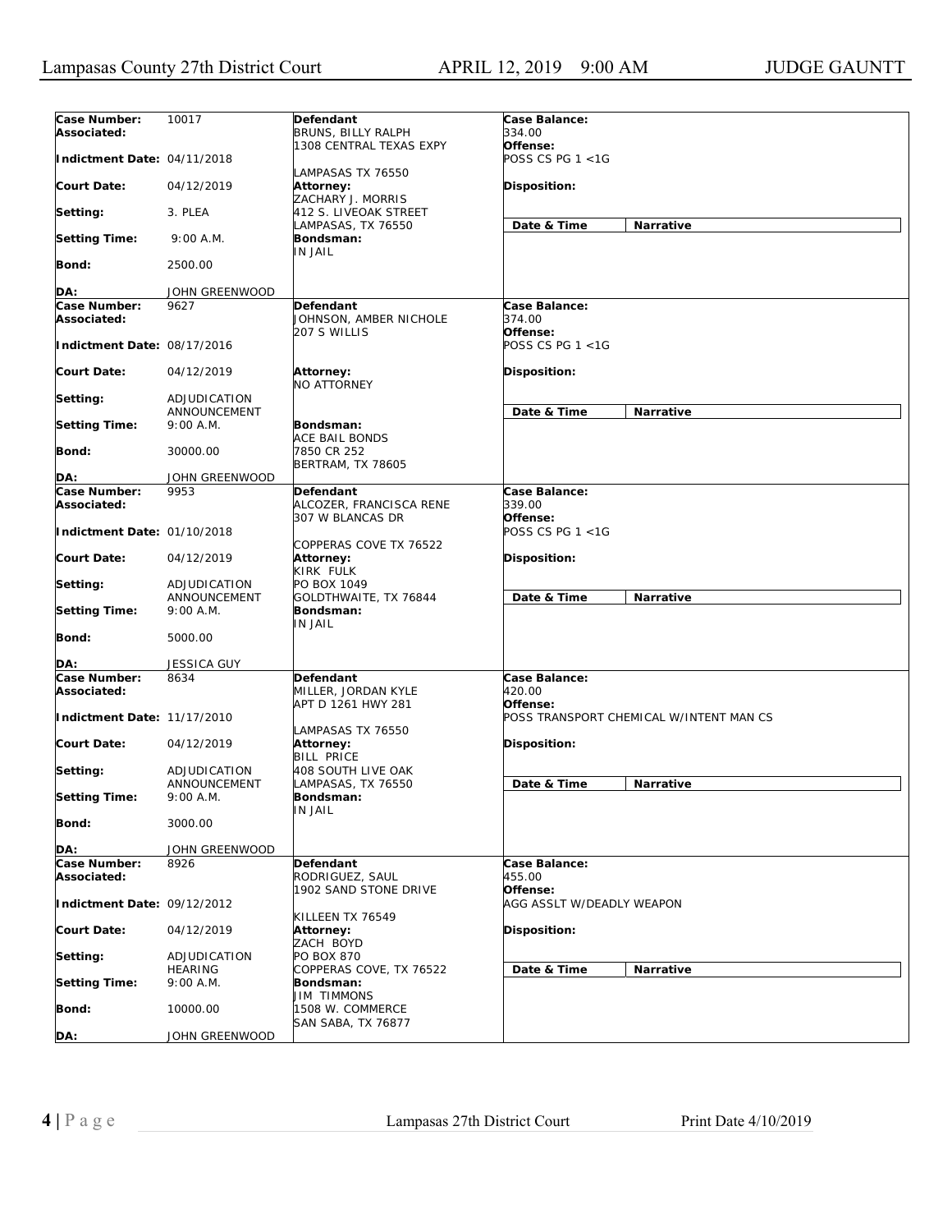| Case Number:<br>Associated: | 10017                        | Defendant<br>BRUNS, BILLY RALPH                               | Case Balance:<br>334.00                 |  |
|-----------------------------|------------------------------|---------------------------------------------------------------|-----------------------------------------|--|
| Indictment Date: 04/11/2018 |                              | 1308 CENTRAL TEXAS EXPY<br>LAMPASAS TX 76550                  | Offense:<br>POSS CS PG 1 <1G            |  |
| <b>Court Date:</b>          | 04/12/2019                   | Attorney:<br>ZACHARY J. MORRIS                                | Disposition:                            |  |
| Setting:                    | 3. PLEA                      | 412 S. LIVEOAK STREET                                         |                                         |  |
| <b>Setting Time:</b>        | 9:00 A.M.                    | LAMPASAS, TX 76550<br>Bondsman:<br>IN JAIL                    | Date & Time<br>Narrative                |  |
| Bond:                       | 2500.00                      |                                                               |                                         |  |
| DA:                         | JOHN GREENWOOD               |                                                               |                                         |  |
| Case Number:                | 9627                         | Defendant                                                     | Case Balance:                           |  |
| Associated:                 |                              | JOHNSON, AMBER NICHOLE<br>207 S WILLIS                        | 374.00<br>Offense:                      |  |
| Indictment Date: 08/17/2016 |                              |                                                               | POSS CS PG 1 <1G                        |  |
| <b>Court Date:</b>          | 04/12/2019                   | Attorney:<br><b>NO ATTORNEY</b>                               | <b>Disposition:</b>                     |  |
| Setting:                    | ADJUDICATION<br>ANNOUNCEMENT |                                                               | Narrative<br>Date & Time                |  |
| <b>Setting Time:</b>        | $9:00$ A.M.                  | Bondsman:                                                     |                                         |  |
| <b>Bond:</b>                | 30000.00                     | ACE BAIL BONDS<br>7850 CR 252<br><b>BERTRAM, TX 78605</b>     |                                         |  |
| DA:                         | JOHN GREENWOOD               |                                                               |                                         |  |
| Case Number:                | 9953                         | Defendant                                                     | Case Balance:                           |  |
| Associated:                 |                              | ALCOZER, FRANCISCA RENE<br>307 W BLANCAS DR                   | 339.00<br>Offense:                      |  |
| Indictment Date: 01/10/2018 |                              | COPPERAS COVE TX 76522                                        | POSS CS PG 1 <1G                        |  |
| <b>Court Date:</b>          | 04/12/2019                   | Attorney:<br>KIRK FULK                                        | <b>Disposition:</b>                     |  |
| Setting:                    | ADJUDICATION<br>ANNOUNCEMENT | PO BOX 1049<br>GOLDTHWAITE, TX 76844                          | Date & Time<br>Narrative                |  |
| <b>Setting Time:</b>        | 9:00 A.M.                    | Bondsman:<br>IN JAIL                                          |                                         |  |
| Bond:                       | 5000.00                      |                                                               |                                         |  |
| DA:                         | <b>JESSICA GUY</b>           |                                                               |                                         |  |
| Case Number:<br>Associated: | 8634                         | <b>Defendant</b><br>MILLER, JORDAN KYLE<br>APT D 1261 HWY 281 | Case Balance:<br>420.00<br>Offense:     |  |
| Indictment Date: 11/17/2010 |                              |                                                               | POSS TRANSPORT CHEMICAL W/INTENT MAN CS |  |
| Court Date:                 | 04/12/2019                   | LAMPASAS TX 76550<br>Attorney:<br><b>BILL PRICE</b>           | Disposition:                            |  |
| Setting:                    | ADJUDICATION<br>ANNOUNCEMENT | 408 SOUTH LIVE OAK<br>LAMPASAS, TX 76550                      | Date & Time<br>Narrative                |  |
| <b>Setting Time:</b>        | 9:00 A.M.                    | Bondsman:                                                     |                                         |  |
| Bond:                       | 3000.00                      | <b>IN JAIL</b>                                                |                                         |  |
| DA:                         | JOHN GREENWOOD               |                                                               |                                         |  |
| Case Number:<br>Associated: | 8926                         | Defendant<br>RODRIGUEZ, SAUL<br>1902 SAND STONE DRIVE         | Case Balance:<br>455.00<br>Offense:     |  |
| Indictment Date: 09/12/2012 |                              |                                                               | AGG ASSLT W/DEADLY WEAPON               |  |
| <b>Court Date:</b>          | 04/12/2019                   | KILLEEN TX 76549<br>Attorney:<br>ZACH BOYD                    | Disposition:                            |  |
| Setting:                    | ADJUDICATION                 | PO BOX 870<br>COPPERAS COVE, TX 76522                         |                                         |  |
| <b>Setting Time:</b>        | HEARING<br>9:00 A.M.         | Bondsman:                                                     | Date & Time<br>Narrative                |  |
| <b>Bond:</b>                | 10000.00                     | <b>JIM TIMMONS</b><br>1508 W. COMMERCE<br>SAN SABA, TX 76877  |                                         |  |
| DA:                         | JOHN GREENWOOD               |                                                               |                                         |  |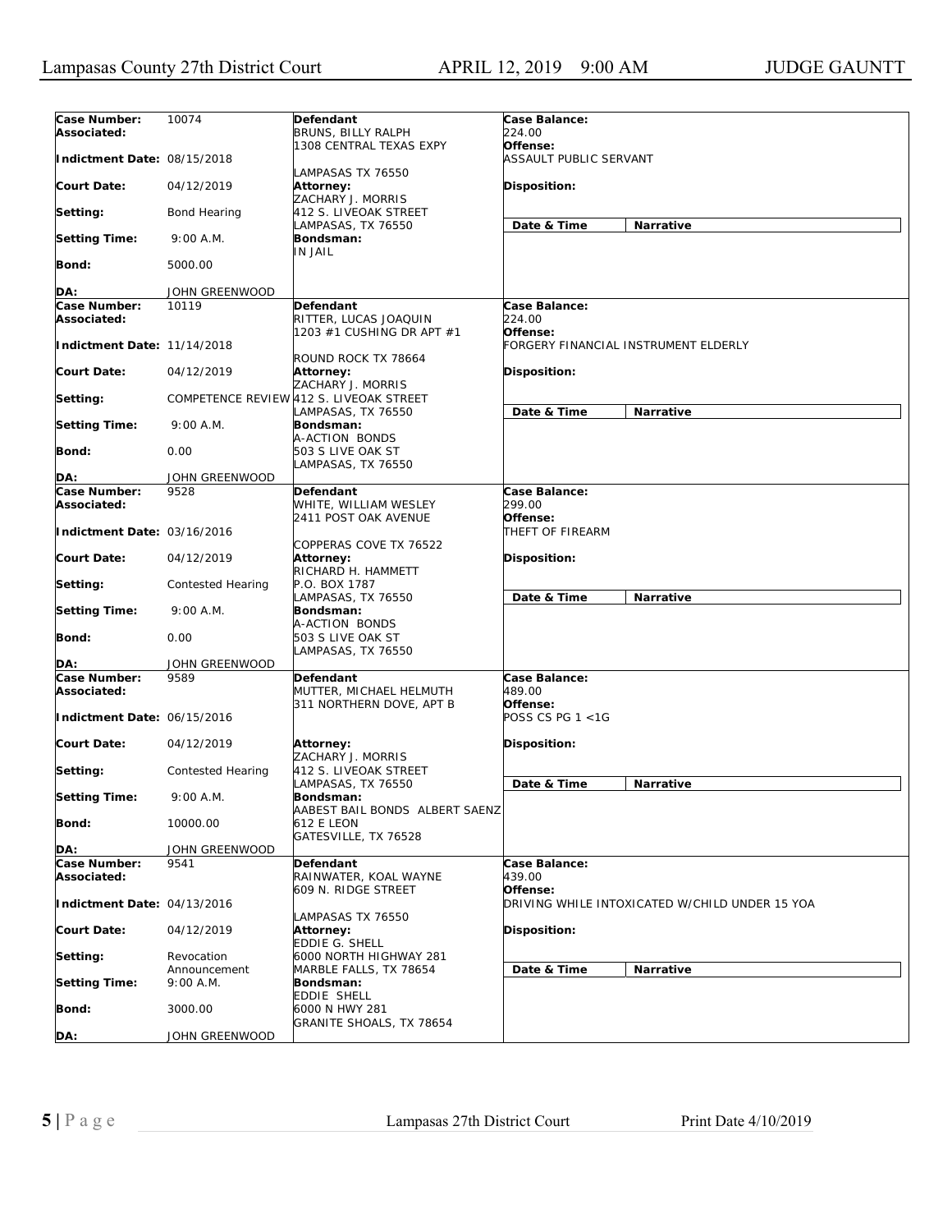| Case Number:<br>Associated: | 10074                     | Defendant<br><b>BRUNS, BILLY RALPH</b>                           | Case Balance:<br>224.00             |                                                |
|-----------------------------|---------------------------|------------------------------------------------------------------|-------------------------------------|------------------------------------------------|
| Indictment Date: 08/15/2018 |                           | 1308 CENTRAL TEXAS EXPY                                          | Offense:<br>ASSAULT PUBLIC SERVANT  |                                                |
| <b>Court Date:</b>          | 04/12/2019                | LAMPASAS TX 76550<br>Attorney:<br>ZACHARY J. MORRIS              | Disposition:                        |                                                |
| Setting:                    | Bond Hearing              | 412 S. LIVEOAK STREET                                            | Date & Time                         |                                                |
| <b>Setting Time:</b>        | 9:00 A.M.                 | LAMPASAS, TX 76550<br>Bondsman:                                  |                                     | Narrative                                      |
| <b>Bond:</b>                | 5000.00                   | <b>IN JAIL</b>                                                   |                                     |                                                |
|                             |                           |                                                                  |                                     |                                                |
| DA:<br>Case Number:         | JOHN GREENWOOD            |                                                                  |                                     |                                                |
| Associated:                 | 10119                     | Defendant<br>RITTER, LUCAS JOAQUIN<br>1203 #1 CUSHING DR APT #1  | Case Balance:<br>224.00<br>Offense: |                                                |
| Indictment Date: 11/14/2018 |                           | ROUND ROCK TX 78664                                              |                                     | FORGERY FINANCIAL INSTRUMENT ELDERLY           |
| <b>Court Date:</b>          | 04/12/2019                | <b>Attorney:</b><br>ZACHARY J. MORRIS                            | Disposition:                        |                                                |
| Setting:                    |                           | COMPETENCE REVIEW 412 S. LIVEOAK STREET<br>LAMPASAS, TX 76550    | Date & Time                         | <b>Narrative</b>                               |
| <b>Setting Time:</b>        | 9:00 A.M.                 | Bondsman:<br>A-ACTION BONDS                                      |                                     |                                                |
| <b>Bond:</b>                | 0.00                      | 503 S LIVE OAK ST<br>LAMPASAS, TX 76550                          |                                     |                                                |
| DA:                         | JOHN GREENWOOD            |                                                                  |                                     |                                                |
| Case Number:                | 9528                      | Defendant                                                        | Case Balance:                       |                                                |
| Associated:                 |                           | WHITE, WILLIAM WESLEY                                            | 299.00                              |                                                |
| Indictment Date: 03/16/2016 |                           | 2411 POST OAK AVENUE                                             | Offense:<br>THEFT OF FIREARM        |                                                |
| <b>Court Date:</b>          | 04/12/2019                | COPPERAS COVE TX 76522<br>Attorney:<br>RICHARD H. HAMMETT        | <b>Disposition:</b>                 |                                                |
| Setting:                    | Contested Hearing         | P.O. BOX 1787<br>LAMPASAS, TX 76550                              | Date & Time                         | Narrative                                      |
| <b>Setting Time:</b>        | 9:00 A.M.                 | Bondsman:<br>A-ACTION BONDS                                      |                                     |                                                |
| <b>Bond:</b>                | 0.00                      | 503 S LIVE OAK ST<br>LAMPASAS, TX 76550                          |                                     |                                                |
| DA:                         | JOHN GREENWOOD            |                                                                  |                                     |                                                |
| Case Number:<br>Associated: | 9589                      | Defendant<br>MUTTER, MICHAEL HELMUTH<br>311 NORTHERN DOVE, APT B | Case Balance:<br>489.00<br>Offense: |                                                |
| Indictment Date: 06/15/2016 |                           |                                                                  | POSS CS PG 1 <1G                    |                                                |
| <b>Court Date:</b>          | 04/12/2019                | <b>Attorney:</b><br>ZACHARY J. MORRIS                            | <b>Disposition:</b>                 |                                                |
| Setting:                    | Contested Hearing         | 412 S. LIVEOAK STREET<br>LAMPASAS, TX 76550                      | Date & Time                         | Narrative                                      |
| <b>Setting Time:</b>        | 9:00 A.M.                 | Bondsman:<br>AABEST BAIL BONDS ALBERT SAENZ                      |                                     |                                                |
| <b>Bond:</b>                | 10000.00                  | <b>612 E LEON</b><br>GATESVILLE, TX 76528                        |                                     |                                                |
| DA:                         | JOHN GREENWOOD            |                                                                  |                                     |                                                |
| Case Number:<br>Associated: | 9541                      | Defendant<br>RAINWATER, KOAL WAYNE                               | Case Balance:<br>439.00             |                                                |
| Indictment Date: 04/13/2016 |                           | 609 N. RIDGE STREET                                              | Offense:                            | DRIVING WHILE INTOXICATED W/CHILD UNDER 15 YOA |
| <b>Court Date:</b>          | 04/12/2019                | LAMPASAS TX 76550<br>Attorney:<br><b>EDDIE G. SHELL</b>          | Disposition:                        |                                                |
| Setting:                    | Revocation                | 6000 NORTH HIGHWAY 281                                           |                                     |                                                |
| <b>Setting Time:</b>        | Announcement<br>9:00 A.M. | MARBLE FALLS, TX 78654<br>Bondsman:                              | Date & Time                         | Narrative                                      |
| <b>Bond:</b>                | 3000.00                   | EDDIE SHELL<br>6000 N HWY 281                                    |                                     |                                                |
| DA:                         | JOHN GREENWOOD            | GRANITE SHOALS, TX 78654                                         |                                     |                                                |